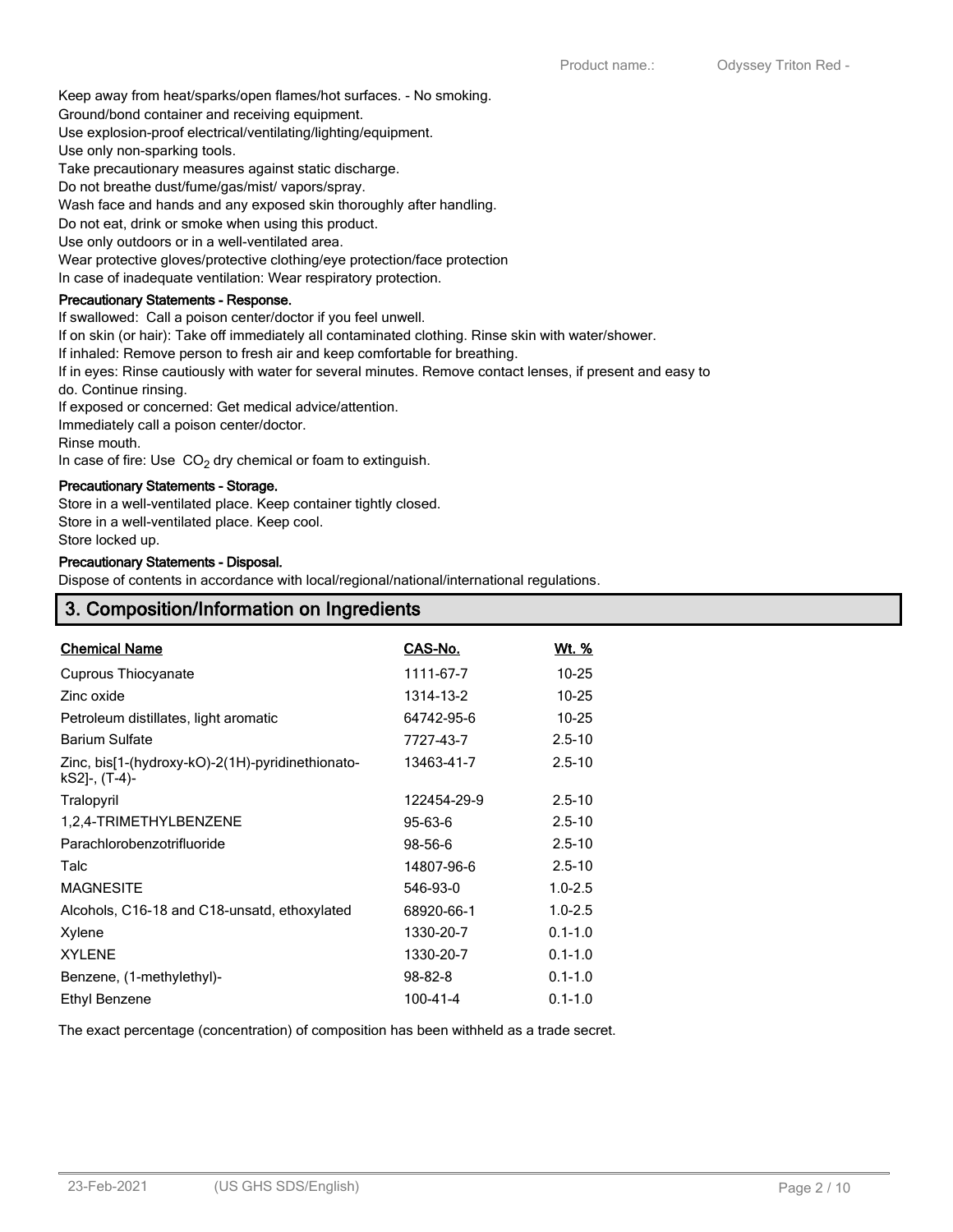Keep away from heat/sparks/open flames/hot surfaces. - No smoking.

Ground/bond container and receiving equipment.

Use explosion-proof electrical/ventilating/lighting/equipment.

Use only non-sparking tools.

Take precautionary measures against static discharge.

Do not breathe dust/fume/gas/mist/ vapors/spray.

Wash face and hands and any exposed skin thoroughly after handling.

Do not eat, drink or smoke when using this product.

Use only outdoors or in a well-ventilated area.

Wear protective gloves/protective clothing/eye protection/face protection

In case of inadequate ventilation: Wear respiratory protection.

## **Precautionary Statements - Response.**

If swallowed: Call a poison center/doctor if you feel unwell.

If on skin (or hair): Take off immediately all contaminated clothing. Rinse skin with water/shower.

If inhaled: Remove person to fresh air and keep comfortable for breathing.

If in eyes: Rinse cautiously with water for several minutes. Remove contact lenses, if present and easy to do. Continue rinsing.

If exposed or concerned: Get medical advice/attention.

Immediately call a poison center/doctor.

Rinse mouth.

In case of fire: Use  $CO<sub>2</sub>$  dry chemical or foam to extinguish.

# **Precautionary Statements - Storage.**

Store in a well-ventilated place. Keep container tightly closed.

Store in a well-ventilated place. Keep cool.

Store locked up.

#### **Precautionary Statements - Disposal.**

Dispose of contents in accordance with local/regional/national/international regulations.

| 3. Composition/Information on Ingredients |  |
|-------------------------------------------|--|
|                                           |  |

| <b>Chemical Name</b>                                              | CAS-No.       | Wt. %       |
|-------------------------------------------------------------------|---------------|-------------|
| Cuprous Thiocyanate                                               | 1111-67-7     | $10 - 25$   |
| Zinc oxide                                                        | 1314-13-2     | $10 - 25$   |
| Petroleum distillates, light aromatic                             | 64742-95-6    | $10 - 25$   |
| <b>Barium Sulfate</b>                                             | 7727-43-7     | $2.5 - 10$  |
| Zinc, bis[1-(hydroxy-kO)-2(1H)-pyridinethionato-<br>kS2]-, (T-4)- | 13463-41-7    | $2.5 - 10$  |
| Tralopyril                                                        | 122454-29-9   | $2.5 - 10$  |
| 1,2,4-TRIMETHYLBENZENE                                            | $95 - 63 - 6$ | $2.5 - 10$  |
| Parachlorobenzotrifluoride                                        | 98-56-6       | $2.5 - 10$  |
| Talc                                                              | 14807-96-6    | $2.5 - 10$  |
| <b>MAGNESITE</b>                                                  | 546-93-0      | $1.0 - 2.5$ |
| Alcohols, C16-18 and C18-unsatd, ethoxylated                      | 68920-66-1    | $1.0 - 2.5$ |
| Xylene                                                            | 1330-20-7     | $0.1 - 1.0$ |
| <b>XYLENE</b>                                                     | 1330-20-7     | $0.1 - 1.0$ |
| Benzene, (1-methylethyl)-                                         | $98 - 82 - 8$ | $0.1 - 1.0$ |
| Ethyl Benzene                                                     | 100-41-4      | $0.1 - 1.0$ |

The exact percentage (concentration) of composition has been withheld as a trade secret.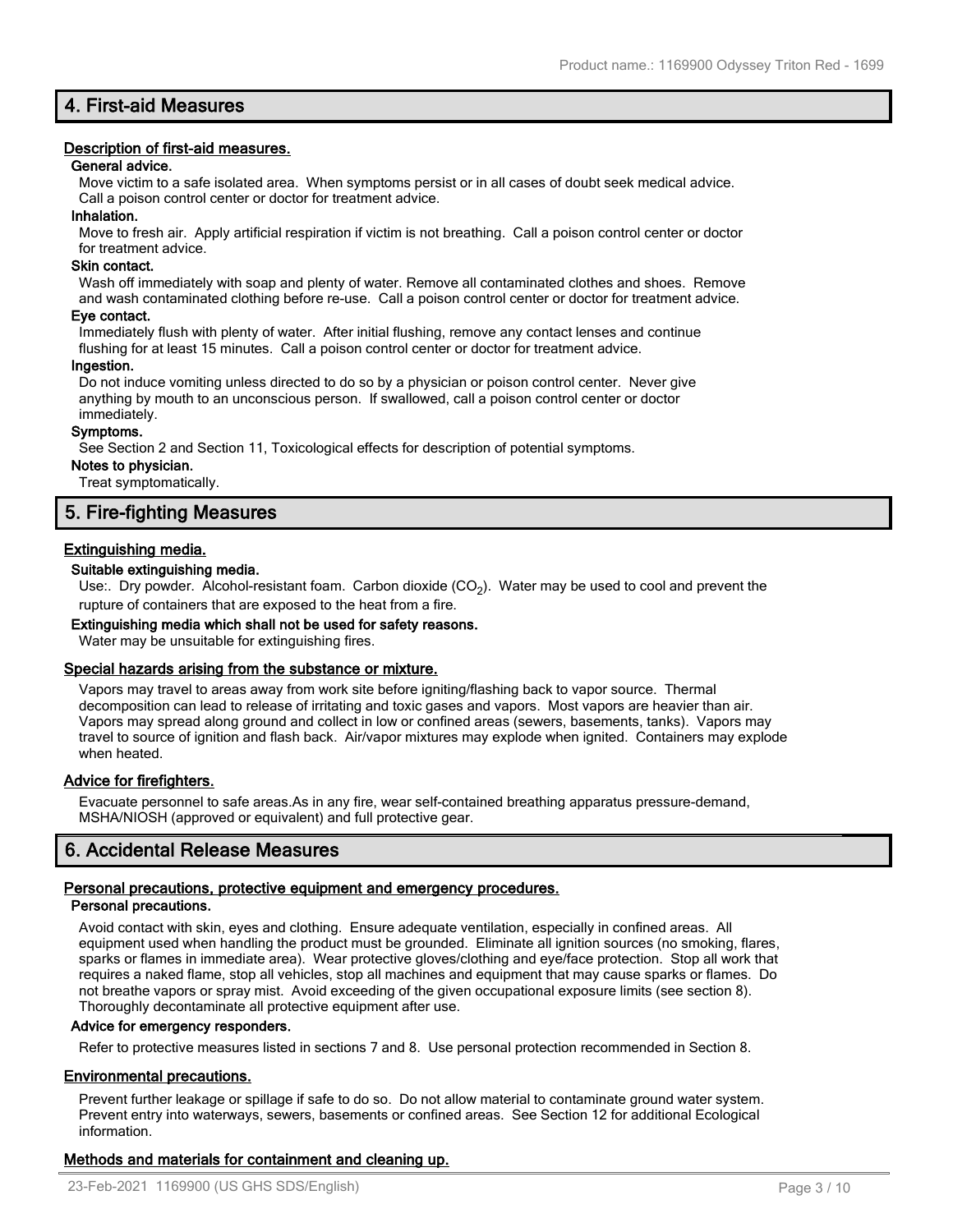# **4. First-aid Measures**

# **Description of first-aid measures.**

#### **General advice.**

Move victim to a safe isolated area. When symptoms persist or in all cases of doubt seek medical advice. Call a poison control center or doctor for treatment advice.

## **Inhalation.**

Move to fresh air. Apply artificial respiration if victim is not breathing. Call a poison control center or doctor for treatment advice.

## **Skin contact.**

Wash off immediately with soap and plenty of water. Remove all contaminated clothes and shoes. Remove and wash contaminated clothing before re-use. Call a poison control center or doctor for treatment advice.

#### **Eye contact.**

Immediately flush with plenty of water. After initial flushing, remove any contact lenses and continue flushing for at least 15 minutes. Call a poison control center or doctor for treatment advice.

#### **Ingestion.**

Do not induce vomiting unless directed to do so by a physician or poison control center. Never give anything by mouth to an unconscious person. If swallowed, call a poison control center or doctor immediately.

#### **Symptoms.**

See Section 2 and Section 11, Toxicological effects for description of potential symptoms.

# **Notes to physician.**

Treat symptomatically.

# **5. Fire-fighting Measures**

# **Extinguishing media.**

## **Suitable extinguishing media.**

Use:. Dry powder. Alcohol-resistant foam. Carbon dioxide (CO<sub>2</sub>). Water may be used to cool and prevent the rupture of containers that are exposed to the heat from a fire.

## **Extinguishing media which shall not be used for safety reasons.**

Water may be unsuitable for extinguishing fires.

## **Special hazards arising from the substance or mixture.**

Vapors may travel to areas away from work site before igniting/flashing back to vapor source. Thermal decomposition can lead to release of irritating and toxic gases and vapors. Most vapors are heavier than air. Vapors may spread along ground and collect in low or confined areas (sewers, basements, tanks). Vapors may travel to source of ignition and flash back. Air/vapor mixtures may explode when ignited. Containers may explode when heated.

## **Advice for firefighters.**

Evacuate personnel to safe areas.As in any fire, wear self-contained breathing apparatus pressure-demand, MSHA/NIOSH (approved or equivalent) and full protective gear.

# **6. Accidental Release Measures**

## **Personal precautions, protective equipment and emergency procedures.**

## **Personal precautions.**

Avoid contact with skin, eyes and clothing. Ensure adequate ventilation, especially in confined areas. All equipment used when handling the product must be grounded. Eliminate all ignition sources (no smoking, flares, sparks or flames in immediate area). Wear protective gloves/clothing and eye/face protection. Stop all work that requires a naked flame, stop all vehicles, stop all machines and equipment that may cause sparks or flames. Do not breathe vapors or spray mist. Avoid exceeding of the given occupational exposure limits (see section 8). Thoroughly decontaminate all protective equipment after use.

## **Advice for emergency responders.**

Refer to protective measures listed in sections 7 and 8. Use personal protection recommended in Section 8.

## **Environmental precautions.**

Prevent further leakage or spillage if safe to do so. Do not allow material to contaminate ground water system. Prevent entry into waterways, sewers, basements or confined areas. See Section 12 for additional Ecological information.

# **Methods and materials for containment and cleaning up.**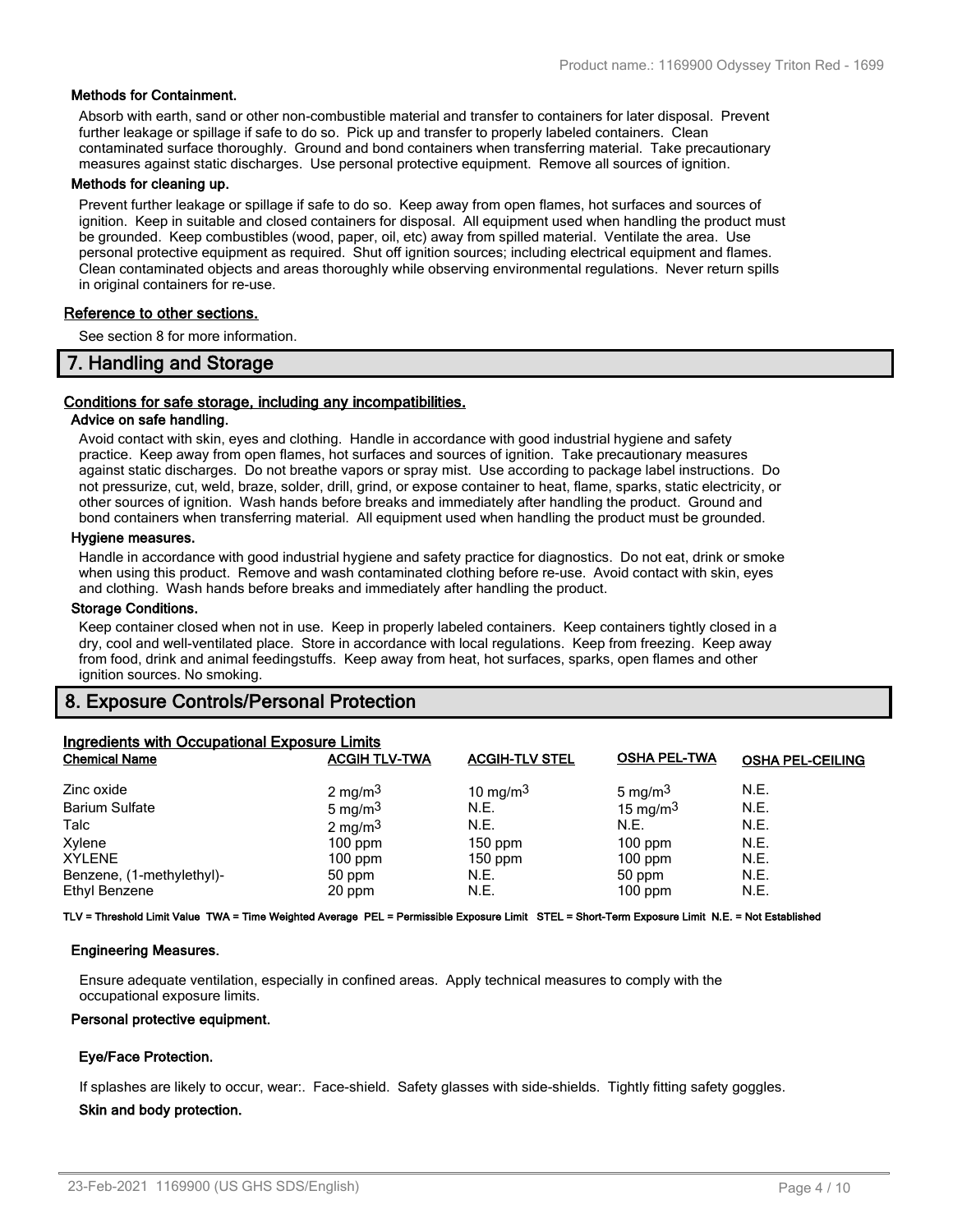## **Methods for Containment.**

Absorb with earth, sand or other non-combustible material and transfer to containers for later disposal. Prevent further leakage or spillage if safe to do so. Pick up and transfer to properly labeled containers. Clean contaminated surface thoroughly. Ground and bond containers when transferring material. Take precautionary measures against static discharges. Use personal protective equipment. Remove all sources of ignition.

#### **Methods for cleaning up.**

Prevent further leakage or spillage if safe to do so. Keep away from open flames, hot surfaces and sources of ignition. Keep in suitable and closed containers for disposal. All equipment used when handling the product must be grounded. Keep combustibles (wood, paper, oil, etc) away from spilled material. Ventilate the area. Use personal protective equipment as required. Shut off ignition sources; including electrical equipment and flames. Clean contaminated objects and areas thoroughly while observing environmental regulations. Never return spills in original containers for re-use.

#### **Reference to other sections.**

See section 8 for more information.

# **7. Handling and Storage**

## **Conditions for safe storage, including any incompatibilities.**

## **Advice on safe handling.**

Avoid contact with skin, eyes and clothing. Handle in accordance with good industrial hygiene and safety practice. Keep away from open flames, hot surfaces and sources of ignition. Take precautionary measures against static discharges. Do not breathe vapors or spray mist. Use according to package label instructions. Do not pressurize, cut, weld, braze, solder, drill, grind, or expose container to heat, flame, sparks, static electricity, or other sources of ignition. Wash hands before breaks and immediately after handling the product. Ground and bond containers when transferring material. All equipment used when handling the product must be grounded.

## **Hygiene measures.**

Handle in accordance with good industrial hygiene and safety practice for diagnostics. Do not eat, drink or smoke when using this product. Remove and wash contaminated clothing before re-use. Avoid contact with skin, eyes and clothing. Wash hands before breaks and immediately after handling the product.

#### **Storage Conditions.**

Keep container closed when not in use. Keep in properly labeled containers. Keep containers tightly closed in a dry, cool and well-ventilated place. Store in accordance with local regulations. Keep from freezing. Keep away from food, drink and animal feedingstuffs. Keep away from heat, hot surfaces, sparks, open flames and other ignition sources. No smoking.

# **8. Exposure Controls/Personal Protection**

| <b>Ingredients with Occupational Exposure Limits</b> |                      |                       |                     |                         |  |
|------------------------------------------------------|----------------------|-----------------------|---------------------|-------------------------|--|
| <b>Chemical Name</b>                                 | <b>ACGIH TLV-TWA</b> | <b>ACGIH-TLV STEL</b> | <b>OSHA PEL-TWA</b> | <b>OSHA PEL-CEILING</b> |  |
| Zinc oxide                                           | 2 mg/m $3$           | 10 mg/m $3$           | 5 mg/m $3$          | N.E.                    |  |
| <b>Barium Sulfate</b>                                | 5 mg/m $3$           | N.E.                  | 15 mg/m $3$         | N.E.                    |  |
| Talc                                                 | 2 mg/m $3$           | N.E.                  | N.E.                | N.E.                    |  |
| Xylene                                               | $100$ ppm            | $150$ ppm             | $100$ ppm           | N.E.                    |  |
| <b>XYLENE</b>                                        | $100$ ppm            | $150$ ppm             | $100$ ppm           | N.E.                    |  |
| Benzene, (1-methylethyl)-                            | 50 ppm               | N.E.                  | 50 ppm              | N.E.                    |  |
| Ethyl Benzene                                        | 20 ppm               | N.E.                  | $100$ ppm           | N.E.                    |  |

**TLV = Threshold Limit Value TWA = Time Weighted Average PEL = Permissible Exposure Limit STEL = Short-Term Exposure Limit N.E. = Not Established**

## **Engineering Measures.**

Ensure adequate ventilation, especially in confined areas. Apply technical measures to comply with the occupational exposure limits.

## **Personal protective equipment.**

## **Eye/Face Protection.**

If splashes are likely to occur, wear:. Face-shield. Safety glasses with side-shields. Tightly fitting safety goggles.

## **Skin and body protection.**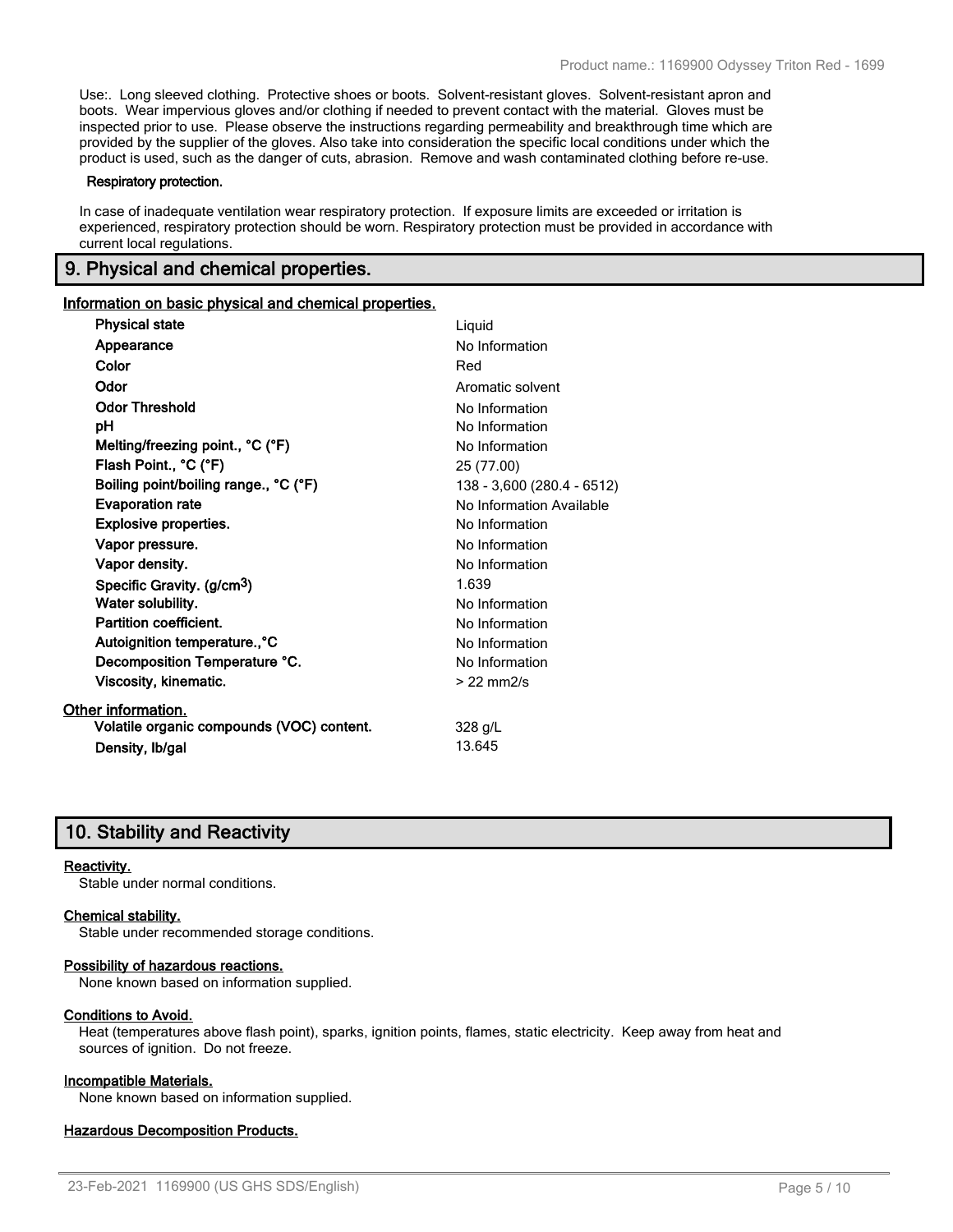Use:. Long sleeved clothing. Protective shoes or boots. Solvent-resistant gloves. Solvent-resistant apron and boots. Wear impervious gloves and/or clothing if needed to prevent contact with the material. Gloves must be inspected prior to use. Please observe the instructions regarding permeability and breakthrough time which are provided by the supplier of the gloves. Also take into consideration the specific local conditions under which the product is used, such as the danger of cuts, abrasion. Remove and wash contaminated clothing before re-use.

#### **Respiratory protection.**

In case of inadequate ventilation wear respiratory protection. If exposure limits are exceeded or irritation is experienced, respiratory protection should be worn. Respiratory protection must be provided in accordance with current local regulations.

# **9. Physical and chemical properties.**

#### **Information on basic physical and chemical properties.**

| <b>Physical state</b>                     | Liquid                     |
|-------------------------------------------|----------------------------|
| Appearance                                | No Information             |
| Color                                     | Red                        |
| Odor                                      | Aromatic solvent           |
| <b>Odor Threshold</b>                     | No Information             |
| рH                                        | No Information             |
| Melting/freezing point., °C (°F)          | No Information             |
| Flash Point., °C (°F)                     | 25 (77.00)                 |
| Boiling point/boiling range., °C (°F)     | 138 - 3,600 (280.4 - 6512) |
| <b>Evaporation rate</b>                   | No Information Available   |
| <b>Explosive properties.</b>              | No Information             |
| Vapor pressure.                           | No Information             |
| Vapor density.                            | No Information             |
| Specific Gravity. (g/cm <sup>3</sup> )    | 1.639                      |
| Water solubility.                         | No Information             |
| Partition coefficient.                    | No Information             |
| Autoignition temperature., °C             | No Information             |
| Decomposition Temperature °C.             | No Information             |
| Viscosity, kinematic.                     | $> 22$ mm $2/s$            |
| Other information.                        |                            |
| Volatile organic compounds (VOC) content. | 328 g/L                    |
| Density, Ib/gal                           | 13.645                     |

# **10. Stability and Reactivity**

#### **Reactivity.**

Stable under normal conditions.

#### **Chemical stability.**

Stable under recommended storage conditions.

#### **Possibility of hazardous reactions.**

None known based on information supplied.

#### **Conditions to Avoid.**

Heat (temperatures above flash point), sparks, ignition points, flames, static electricity. Keep away from heat and sources of ignition. Do not freeze.

## **Incompatible Materials.**

None known based on information supplied.

#### **Hazardous Decomposition Products.**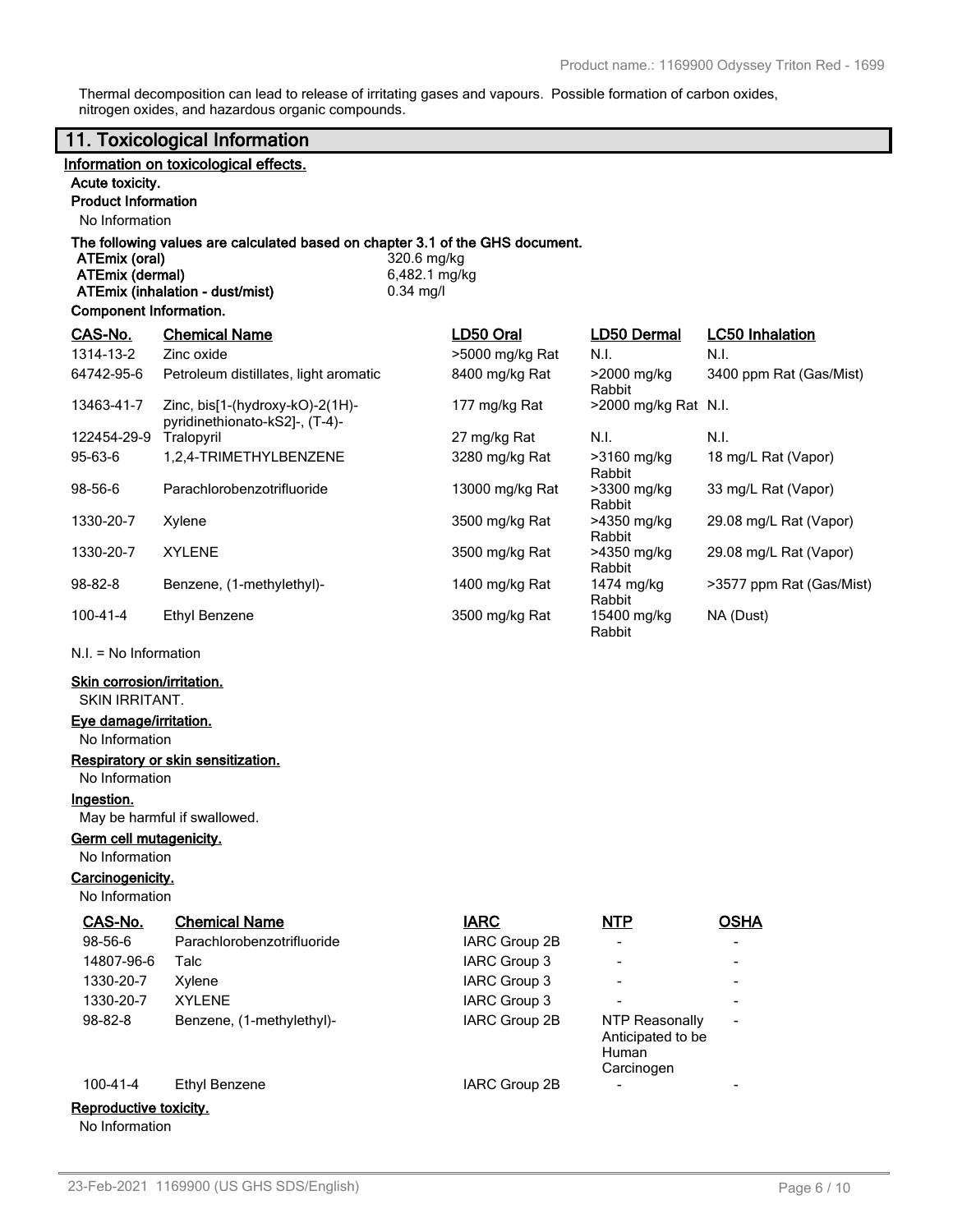Thermal decomposition can lead to release of irritating gases and vapours. Possible formation of carbon oxides, nitrogen oxides, and hazardous organic compounds.

|                                                | 11. Toxicological Information                                                 |                              |                                                            |                                |
|------------------------------------------------|-------------------------------------------------------------------------------|------------------------------|------------------------------------------------------------|--------------------------------|
|                                                | Information on toxicological effects.                                         |                              |                                                            |                                |
| Acute toxicity.                                |                                                                               |                              |                                                            |                                |
| <b>Product Information</b>                     |                                                                               |                              |                                                            |                                |
| No Information                                 |                                                                               |                              |                                                            |                                |
| <b>ATEmix (oral)</b><br><b>ATEmix (dermal)</b> | The following values are calculated based on chapter 3.1 of the GHS document. | 320.6 mg/kg<br>6,482.1 mg/kg |                                                            |                                |
| <b>Component Information.</b>                  | ATEmix (inhalation - dust/mist)                                               | $0.34$ mg/l                  |                                                            |                                |
|                                                |                                                                               |                              |                                                            |                                |
| CAS-No.<br>1314-13-2                           | <b>Chemical Name</b><br>Zinc oxide                                            | LD50 Oral<br>>5000 mg/kg Rat | <b>LD50 Dermal</b><br>N.I.                                 | <b>LC50 Inhalation</b><br>N.I. |
| 64742-95-6                                     | Petroleum distillates, light aromatic                                         | 8400 mg/kg Rat               | >2000 mg/kg                                                | 3400 ppm Rat (Gas/Mist)        |
| 13463-41-7                                     | Zinc, bis[1-(hydroxy-kO)-2(1H)-<br>pyridinethionato-kS2]-, (T-4)-             | 177 mg/kg Rat                | Rabbit<br>>2000 mg/kg Rat N.I.                             |                                |
| 122454-29-9                                    | Tralopyril                                                                    | 27 mg/kg Rat                 | N.I.                                                       | N.I.                           |
| $95-63-6$                                      | 1,2,4-TRIMETHYLBENZENE                                                        | 3280 mg/kg Rat               | >3160 mg/kg<br>Rabbit                                      | 18 mg/L Rat (Vapor)            |
| 98-56-6                                        | Parachlorobenzotrifluoride                                                    | 13000 mg/kg Rat              | >3300 mg/kg<br>Rabbit                                      | 33 mg/L Rat (Vapor)            |
| 1330-20-7                                      | Xylene                                                                        | 3500 mg/kg Rat               | >4350 mg/kg<br>Rabbit                                      | 29.08 mg/L Rat (Vapor)         |
| 1330-20-7                                      | <b>XYLENE</b>                                                                 | 3500 mg/kg Rat               | >4350 mg/kg<br>Rabbit                                      | 29.08 mg/L Rat (Vapor)         |
| 98-82-8                                        | Benzene, (1-methylethyl)-                                                     | 1400 mg/kg Rat               | 1474 mg/kg<br>Rabbit                                       | >3577 ppm Rat (Gas/Mist)       |
| $100 - 41 - 4$                                 | <b>Ethyl Benzene</b>                                                          | 3500 mg/kg Rat               | 15400 mg/kg<br>Rabbit                                      | NA (Dust)                      |
| $N.I. = No Information$                        |                                                                               |                              |                                                            |                                |
| <b>Skin corrosion/irritation.</b>              |                                                                               |                              |                                                            |                                |
| <b>SKIN IRRITANT.</b>                          |                                                                               |                              |                                                            |                                |
| Eye damage/irritation.                         |                                                                               |                              |                                                            |                                |
| No Information                                 |                                                                               |                              |                                                            |                                |
| No Information                                 | <b>Respiratory or skin sensitization.</b>                                     |                              |                                                            |                                |
| Ingestion.                                     |                                                                               |                              |                                                            |                                |
|                                                | May be harmful if swallowed.                                                  |                              |                                                            |                                |
| Germ cell mutagenicity.<br>No Information      |                                                                               |                              |                                                            |                                |
| Carcinogenicity.                               |                                                                               |                              |                                                            |                                |
| No Information                                 |                                                                               |                              |                                                            |                                |
| CAS-No.                                        | <b>Chemical Name</b>                                                          | <b>IARC</b>                  | NTP                                                        | <b>OSHA</b>                    |
| 98-56-6                                        | Parachlorobenzotrifluoride                                                    | IARC Group 2B                |                                                            |                                |
| 14807-96-6                                     | Talc                                                                          | IARC Group 3                 |                                                            |                                |
| 1330-20-7                                      | Xylene                                                                        | IARC Group 3                 |                                                            |                                |
| 1330-20-7                                      | <b>XYLENE</b>                                                                 | IARC Group 3                 |                                                            |                                |
| 98-82-8                                        | Benzene, (1-methylethyl)-                                                     | IARC Group 2B                | <b>NTP Reasonally</b><br>Anticipated to be<br><b>Human</b> |                                |
|                                                |                                                                               |                              | Carcinogen                                                 |                                |

# 100-41-4 Ethyl Benzene IARC Group 2B

# **Reproductive toxicity.**

No Information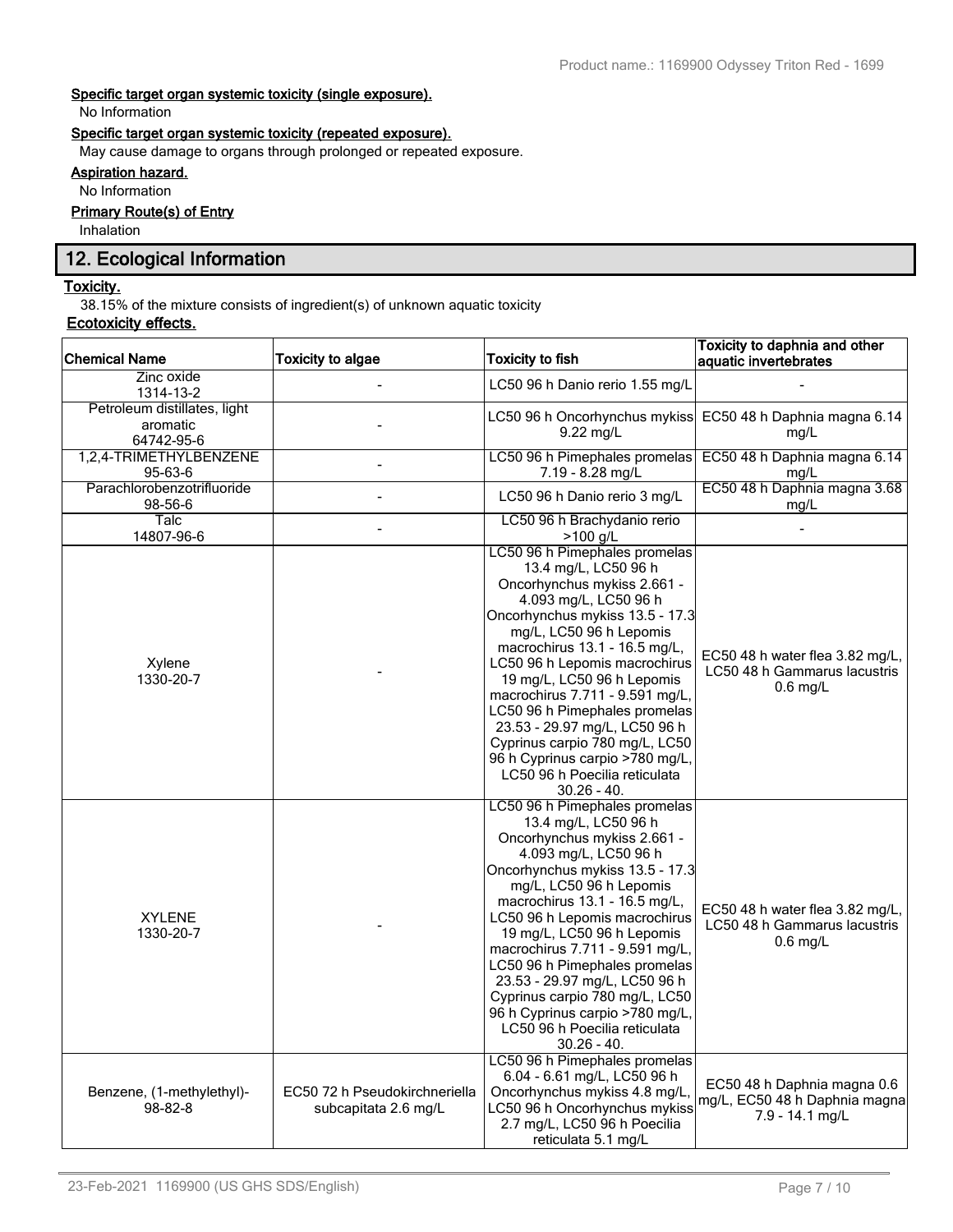# **Specific target organ systemic toxicity (single exposure).**

No Information

# **Specific target organ systemic toxicity (repeated exposure).**

May cause damage to organs through prolonged or repeated exposure.

# **Aspiration hazard.**

No Information

# **Primary Route(s) of Entry**

Inhalation

# **12. Ecological Information**

# **Toxicity.**

38.15% of the mixture consists of ingredient(s) of unknown aquatic toxicity

# **Ecotoxicity effects.**

| <b>Chemical Name</b>                                   | <b>Toxicity to algae</b>                              | <b>Toxicity to fish</b>                                                                                                                                                                                                                                                                                                                                                                                                                                                                                 | Toxicity to daphnia and other<br>aquatic invertebrates                          |
|--------------------------------------------------------|-------------------------------------------------------|---------------------------------------------------------------------------------------------------------------------------------------------------------------------------------------------------------------------------------------------------------------------------------------------------------------------------------------------------------------------------------------------------------------------------------------------------------------------------------------------------------|---------------------------------------------------------------------------------|
| Zinc oxide<br>1314-13-2                                |                                                       | LC50 96 h Danio rerio 1.55 mg/L                                                                                                                                                                                                                                                                                                                                                                                                                                                                         |                                                                                 |
| Petroleum distillates, light<br>aromatic<br>64742-95-6 |                                                       | LC50 96 h Oncorhynchus mykiss<br>$9.22$ mg/L                                                                                                                                                                                                                                                                                                                                                                                                                                                            | EC50 48 h Daphnia magna 6.14<br>mq/L                                            |
| 1,2,4-TRIMETHYLBENZENE<br>95-63-6                      |                                                       | LC50 96 h Pimephales promelas<br>7.19 - 8.28 mg/L                                                                                                                                                                                                                                                                                                                                                                                                                                                       | EC50 48 h Daphnia magna 6.14<br>mg/L                                            |
| Parachlorobenzotrifluoride<br>98-56-6                  | $\frac{1}{2}$                                         | LC50 96 h Danio rerio 3 mg/L                                                                                                                                                                                                                                                                                                                                                                                                                                                                            | EC50 48 h Daphnia magna 3.68<br>mg/L                                            |
| Talc<br>14807-96-6                                     | $\blacksquare$                                        | LC50 96 h Brachydanio rerio<br>$>100$ g/L                                                                                                                                                                                                                                                                                                                                                                                                                                                               |                                                                                 |
| Xylene<br>1330-20-7                                    |                                                       | LC50 96 h Pimephales promelas<br>13.4 mg/L, LC50 96 h<br>Oncorhynchus mykiss 2.661 -<br>4.093 mg/L, LC50 96 h<br>Oncorhynchus mykiss 13.5 - 17.3<br>mg/L, LC50 96 h Lepomis<br>macrochirus 13.1 - 16.5 mg/L,<br>LC50 96 h Lepomis macrochirus<br>19 mg/L, LC50 96 h Lepomis<br>macrochirus 7.711 - 9.591 mg/L,<br>LC50 96 h Pimephales promelas<br>23.53 - 29.97 mg/L, LC50 96 h<br>Cyprinus carpio 780 mg/L, LC50<br>96 h Cyprinus carpio >780 mg/L,<br>LC50 96 h Poecilia reticulata<br>$30.26 - 40.$ | EC50 48 h water flea 3.82 mg/L,<br>LC50 48 h Gammarus lacustris<br>$0.6$ mg/L   |
| <b>XYLENE</b><br>1330-20-7                             |                                                       | LC50 96 h Pimephales promelas<br>13.4 mg/L, LC50 96 h<br>Oncorhynchus mykiss 2.661 -<br>4.093 mg/L, LC50 96 h<br>Oncorhynchus mykiss 13.5 - 17.3<br>mg/L, LC50 96 h Lepomis<br>macrochirus 13.1 - 16.5 mg/L,<br>LC50 96 h Lepomis macrochirus<br>19 mg/L, LC50 96 h Lepomis<br>macrochirus 7.711 - 9.591 mg/L,<br>LC50 96 h Pimephales promelas<br>23.53 - 29.97 mg/L, LC50 96 h<br>Cyprinus carpio 780 mg/L, LC50<br>96 h Cyprinus carpio >780 mg/L,<br>LC50 96 h Poecilia reticulata<br>$30.26 - 40.$ | EC50 48 h water flea 3.82 mg/L,<br>LC50 48 h Gammarus lacustris<br>$0.6$ mg/L   |
| Benzene, (1-methylethyl)-<br>98-82-8                   | EC50 72 h Pseudokirchneriella<br>subcapitata 2.6 mg/L | LC50 96 h Pimephales promelas<br>6.04 - 6.61 mg/L, LC50 96 h<br>Oncorhynchus mykiss 4.8 mg/L,<br>LC50 96 h Oncorhynchus mykiss<br>2.7 mg/L, LC50 96 h Poecilia<br>reticulata 5.1 mg/L                                                                                                                                                                                                                                                                                                                   | EC50 48 h Daphnia magna 0.6<br>mg/L, EC50 48 h Daphnia magna<br>7.9 - 14.1 mg/L |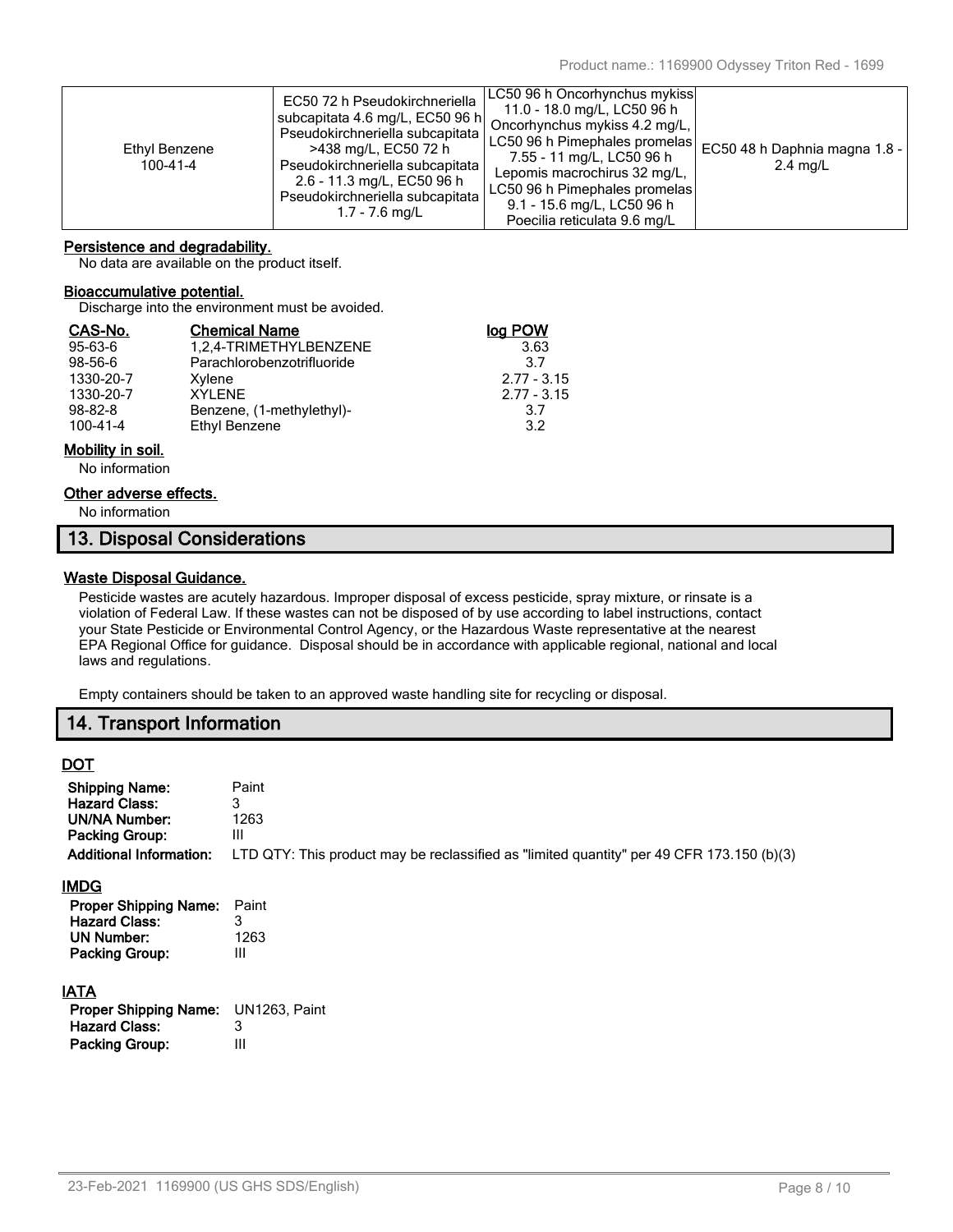| Ethyl Benzene<br>100-41-4 | EC50 72 h Pseudokirchneriella<br>subcapitata 4.6 mg/L, EC50 96 h<br>Pseudokirchneriella subcapitata  <br>>438 mg/L, EC50 72 h<br>Pseudokirchneriella subcapitata<br>2.6 - 11.3 mg/L, EC50 96 h<br>Pseudokirchneriella subcapitata<br>$1.7 - 7.6$ mg/L | LC50 96 h Oncorhynchus mykiss<br>11.0 - 18.0 mg/L, LC50 96 h<br>Oncorhynchus mykiss 4.2 mg/L,<br>LC50 96 h Pimephales promelas<br>7.55 - 11 mg/L, LC50 96 h<br>Lepomis macrochirus 32 mg/L,<br>LC50 96 h Pimephales promelas<br>9.1 - 15.6 mg/L, LC50 96 h | EC50 48 h Daphnia magna 1.8 -<br>$2.4$ mg/L |
|---------------------------|-------------------------------------------------------------------------------------------------------------------------------------------------------------------------------------------------------------------------------------------------------|------------------------------------------------------------------------------------------------------------------------------------------------------------------------------------------------------------------------------------------------------------|---------------------------------------------|
|                           |                                                                                                                                                                                                                                                       | Poecilia reticulata 9.6 mg/L                                                                                                                                                                                                                               |                                             |

# **Persistence and degradability.**

No data are available on the product itself.

## **Bioaccumulative potential.**

Discharge into the environment must be avoided.

| CAS-No.        | <b>Chemical Name</b>       | loa POW       |
|----------------|----------------------------|---------------|
| $95 - 63 - 6$  | 1,2,4-TRIMETHYLBENZENE     | 3.63          |
| $98 - 56 - 6$  | Parachlorobenzotrifluoride | 37            |
| 1330-20-7      | Xylene                     | $2.77 - 3.15$ |
| 1330-20-7      | XYI FNF                    | $2.77 - 3.15$ |
| $98 - 82 - 8$  | Benzene, (1-methylethyl)-  | 3.7           |
| $100 - 41 - 4$ | Ethyl Benzene              | 3.2           |

# **Mobility in soil.**

No information

# **Other adverse effects.**

No information

# **13. Disposal Considerations**

# **Waste Disposal Guidance.**

Pesticide wastes are acutely hazardous. Improper disposal of excess pesticide, spray mixture, or rinsate is a violation of Federal Law. If these wastes can not be disposed of by use according to label instructions, contact your State Pesticide or Environmental Control Agency, or the Hazardous Waste representative at the nearest EPA Regional Office for guidance. Disposal should be in accordance with applicable regional, national and local laws and regulations.

Empty containers should be taken to an approved waste handling site for recycling or disposal.

# **14. Transport Information**

# **DOT**

| <b>Shipping Name:</b>          | Paint                                                                                     |
|--------------------------------|-------------------------------------------------------------------------------------------|
| <b>Hazard Class:</b>           | 3                                                                                         |
| <b>UN/NA Number:</b>           | 1263                                                                                      |
| <b>Packing Group:</b>          | Ш                                                                                         |
| <b>Additional Information:</b> | LTD QTY: This product may be reclassified as "limited quantity" per 49 CFR 173.150 (b)(3) |
| <u>IMDG</u>                    |                                                                                           |
| <b>Proper Shipping Name:</b>   | Paint                                                                                     |
| <b>Hazard Class:</b>           | 3                                                                                         |
| <b>UN Number:</b>              | 1263                                                                                      |
| <b>Packing Group:</b>          | $\mathbf{III}$                                                                            |
| <b>IATA</b>                    |                                                                                           |

| <b>Proper Shipping Name:</b> UN1263, Paint |
|--------------------------------------------|
| 3                                          |
| Ш                                          |
|                                            |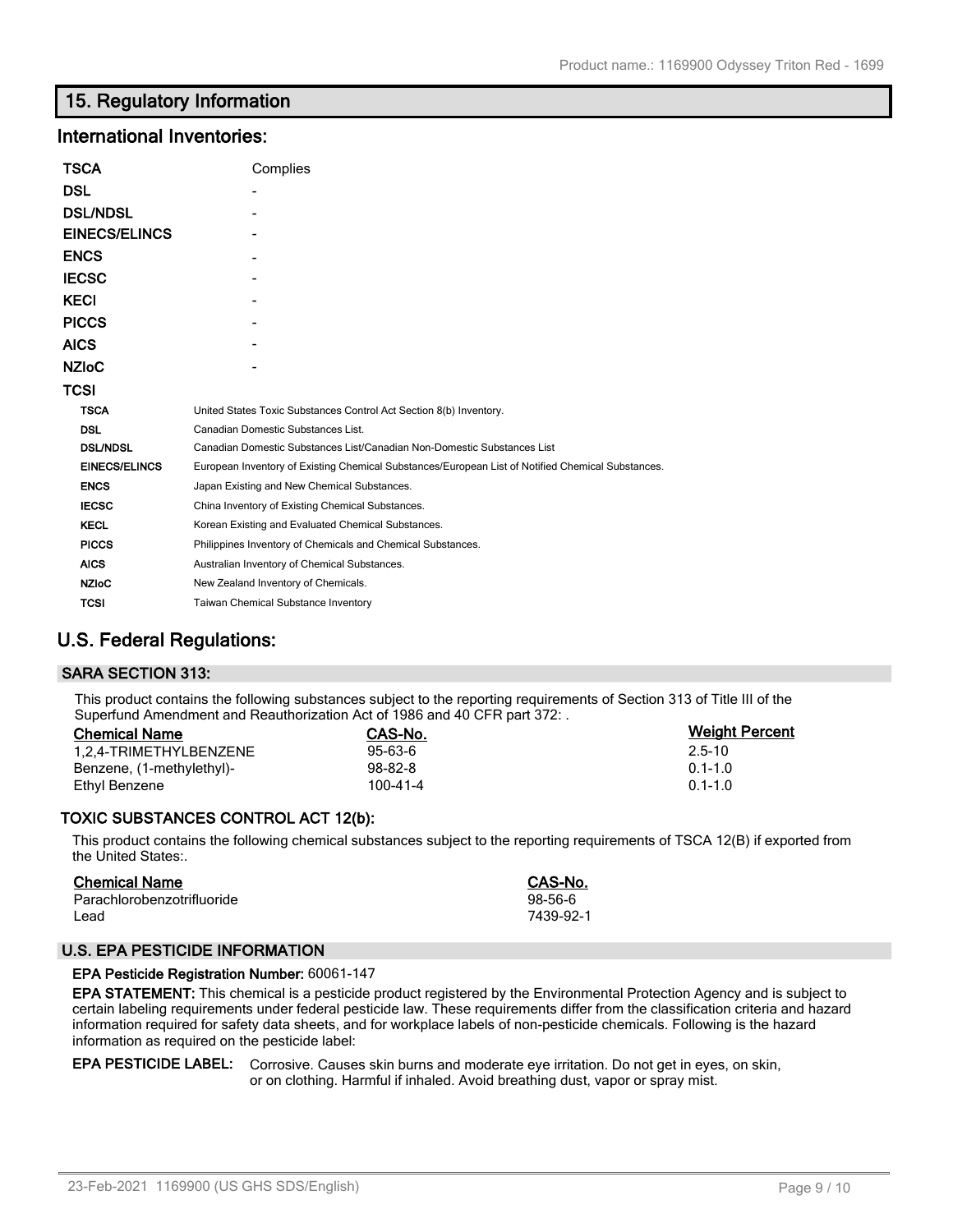# **15. Regulatory Information**

# **International Inventories:**

| <b>TSCA</b>          | Complies                                                                                          |
|----------------------|---------------------------------------------------------------------------------------------------|
| DSL                  |                                                                                                   |
| <b>DSL/NDSL</b>      |                                                                                                   |
| <b>EINECS/ELINCS</b> |                                                                                                   |
| <b>ENCS</b>          |                                                                                                   |
| <b>IECSC</b>         |                                                                                                   |
| <b>KECI</b>          |                                                                                                   |
| <b>PICCS</b>         |                                                                                                   |
| <b>AICS</b>          |                                                                                                   |
| <b>NZIoC</b>         |                                                                                                   |
| TCSI                 |                                                                                                   |
| <b>TSCA</b>          | United States Toxic Substances Control Act Section 8(b) Inventory.                                |
| <b>DSL</b>           | Canadian Domestic Substances List.                                                                |
| <b>DSL/NDSL</b>      | Canadian Domestic Substances List/Canadian Non-Domestic Substances List                           |
| <b>EINECS/ELINCS</b> | European Inventory of Existing Chemical Substances/European List of Notified Chemical Substances. |
| <b>ENCS</b>          | Japan Existing and New Chemical Substances.                                                       |
| <b>IECSC</b>         | China Inventory of Existing Chemical Substances.                                                  |
| <b>KECL</b>          | Korean Existing and Evaluated Chemical Substances.                                                |
| <b>PICCS</b>         | Philippines Inventory of Chemicals and Chemical Substances.                                       |
| <b>AICS</b>          | Australian Inventory of Chemical Substances.                                                      |
| <b>NZIoC</b>         | New Zealand Inventory of Chemicals.                                                               |
| <b>TCSI</b>          | <b>Taiwan Chemical Substance Inventory</b>                                                        |

# **U.S. Federal Regulations:**

# **SARA SECTION 313:**

This product contains the following substances subject to the reporting requirements of Section 313 of Title III of the Superfund Amendment and Reauthorization Act of 1986 and 40 CFR part 372: .

| <b>Chemical Name</b>      | CAS-No.        | <b>Weight Percent</b> |
|---------------------------|----------------|-----------------------|
| 1.2.4-TRIMETHYLBENZENE    | $95 - 63 - 6$  | 2.5-10                |
| Benzene, (1-methylethyl)- | 98-82-8        | $0.1 - 1.0$           |
| Ethvl Benzene             | $100 - 41 - 4$ | $0.1 - 1.0$           |

# **TOXIC SUBSTANCES CONTROL ACT 12(b):**

This product contains the following chemical substances subject to the reporting requirements of TSCA 12(B) if exported from the United States:.

| <b>Chemical Name</b>       | CAS-No.   |
|----------------------------|-----------|
| Parachlorobenzotrifluoride | 98-56-6   |
| Lead                       | 7439-92-1 |

# **U.S. EPA PESTICIDE INFORMATION**

# **EPA Pesticide Registration Number:** 60061-147

**EPA STATEMENT:** This chemical is a pesticide product registered by the Environmental Protection Agency and is subject to certain labeling requirements under federal pesticide law. These requirements differ from the classification criteria and hazard information required for safety data sheets, and for workplace labels of non-pesticide chemicals. Following is the hazard information as required on the pesticide label:

## **EPA PESTICIDE LABEL:** Corrosive. Causes skin burns and moderate eye irritation. Do not get in eyes, on skin, or on clothing. Harmful if inhaled. Avoid breathing dust, vapor or spray mist.